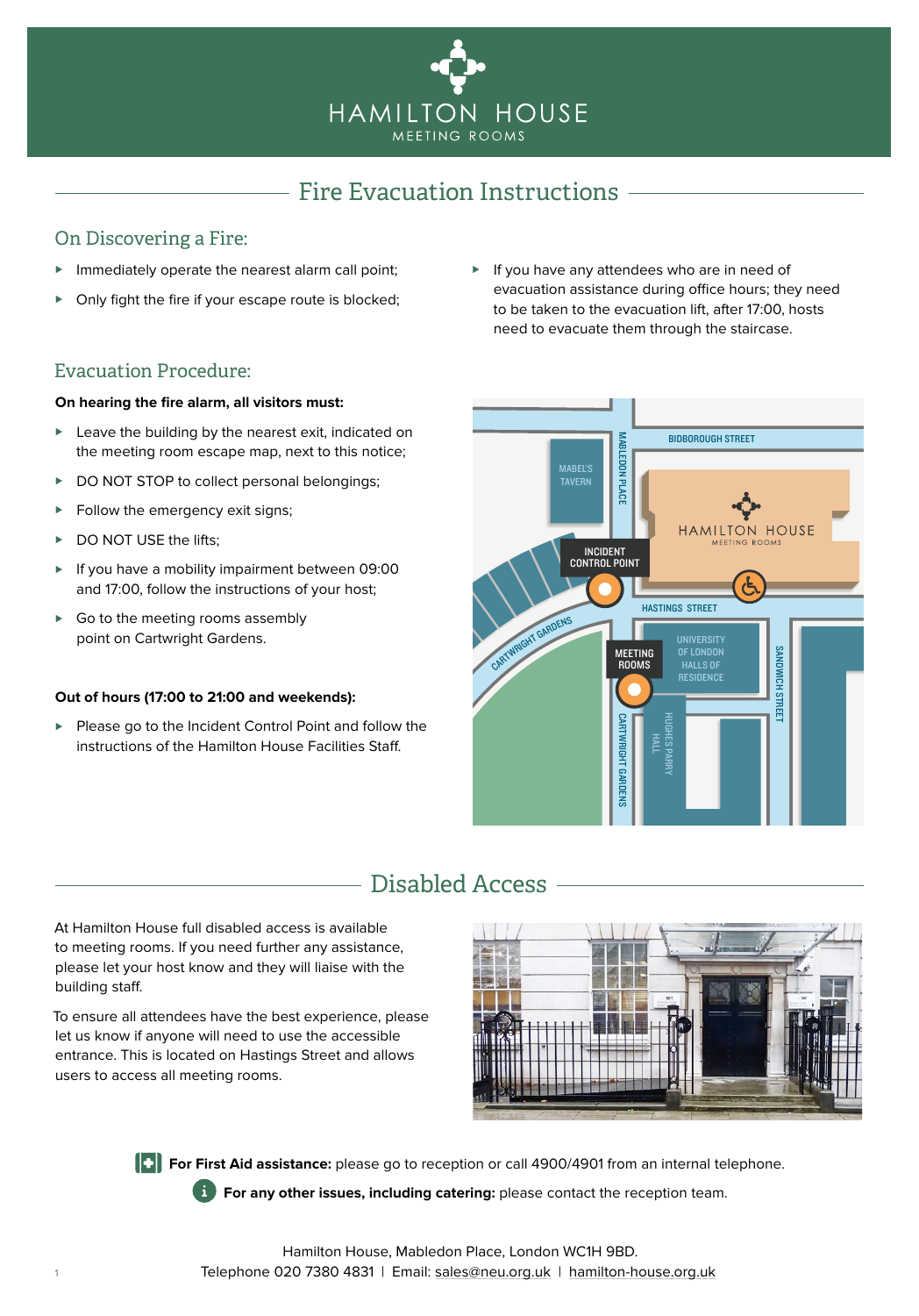

### Fire Evacuation Instructions

### <span id="page-0-0"></span>On Discovering a Fire:

- ► Immediately operate the nearest alarm call point;
- Only fight the fire if your escape route is blocked;
- Evacuation Procedure:

#### **On hearing the fire alarm, all visitors must:**

- ► Leave the building by the nearest exit, indicated on the meeting room escape map, next to this notice;
- ► DO NOT STOP to collect personal belongings;
- ► Follow the emergency exit signs;
- ► DO NOT USE the lifts:
- ► If you have a mobility impairment between 09:00 and 17:00, follow the instructions of your host;
- ► Go to the meeting rooms assembly point on Cartwright Gardens.

#### **Out of hours (17:00 to 21:00 and weekends):**

► Please go to the Incident Control Point and follow the instructions of the Hamilton House Facilities Staff.

► If you have any attendees who are in need of evacuation assistance during office hours; they need to be taken to the evacuation lift, after 17:00, hosts need to evacuate them through the staircase.



# Disabled Access

At Hamilton House full disabled access is available to meeting rooms. If you need further any assistance, please let your host know and they will liaise with the building staff.

To ensure all attendees have the best experience, please let us know if anyone will need to use the accessible entrance. This is located on Hastings Street and allows users to access all meeting rooms.



**For First Aid assistance:** please go to reception or call 4900/4901 from an internal telephone.

**For any other issues, including catering:** please contact the reception team.

Hamilton House, Mabledon Place, London WC1H 9BD. Telephone 020 7380 4831 | Email: [sales@neu.org.uk](mailto:sales%40neu.org.uk?subject=Enquiry%20from%20Fire%20Evacuation%20Document) | [hamilton-house.org.uk](http://hamilton-house.org.uk)